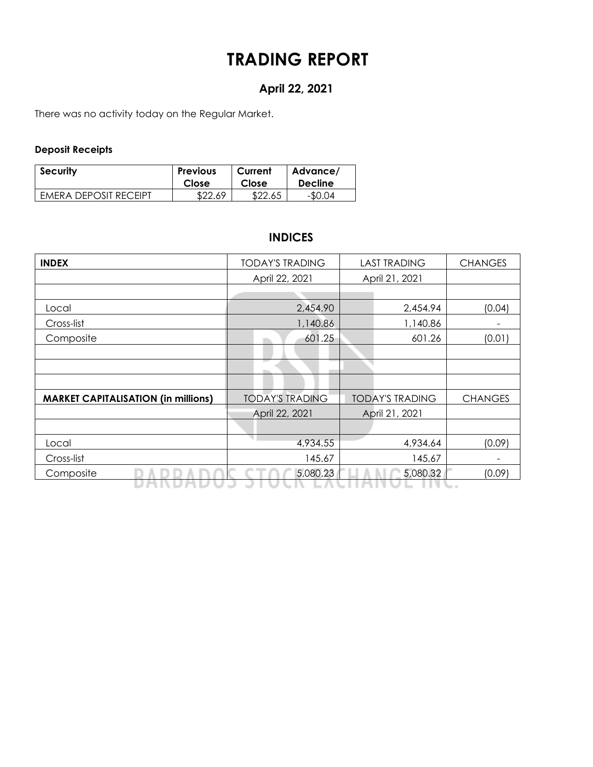# **TRADING REPORT**

# **April 22, 2021**

There was no activity today on the Regular Market.

## **Deposit Receipts**

| Security                     | <b>Previous</b> | Current | Advance/       |
|------------------------------|-----------------|---------|----------------|
|                              | Close           | Close   | <b>Decline</b> |
| <b>FMERA DEPOSIT RECEIPT</b> | \$22.69         | \$22.65 | $-$0.04$       |

# **INDICES**

| <b>INDEX</b>                               | <b>TODAY'S TRADING</b> | <b>LAST TRADING</b>    | <b>CHANGES</b> |  |  |
|--------------------------------------------|------------------------|------------------------|----------------|--|--|
|                                            | April 22, 2021         | April 21, 2021         |                |  |  |
|                                            |                        |                        |                |  |  |
| Local                                      | 2,454.90               | 2,454.94               | (0.04)         |  |  |
| Cross-list                                 | 1,140.86               | 1,140.86               |                |  |  |
| Composite                                  | 601.25                 | 601.26                 | (0.01)         |  |  |
|                                            |                        |                        |                |  |  |
|                                            |                        |                        |                |  |  |
|                                            |                        |                        |                |  |  |
| <b>MARKET CAPITALISATION (in millions)</b> | <b>TODAY'S TRADING</b> | <b>TODAY'S TRADING</b> | <b>CHANGES</b> |  |  |
|                                            | April 22, 2021         | April 21, 2021         |                |  |  |
|                                            |                        |                        |                |  |  |
| Local                                      | 4,934.55               | 4,934.64               | (0.09)         |  |  |
| Cross-list                                 | 145.67                 | 145.67                 |                |  |  |
| Composite                                  | 5,080.23               | 5,080.32               | (0.09)         |  |  |
|                                            |                        |                        |                |  |  |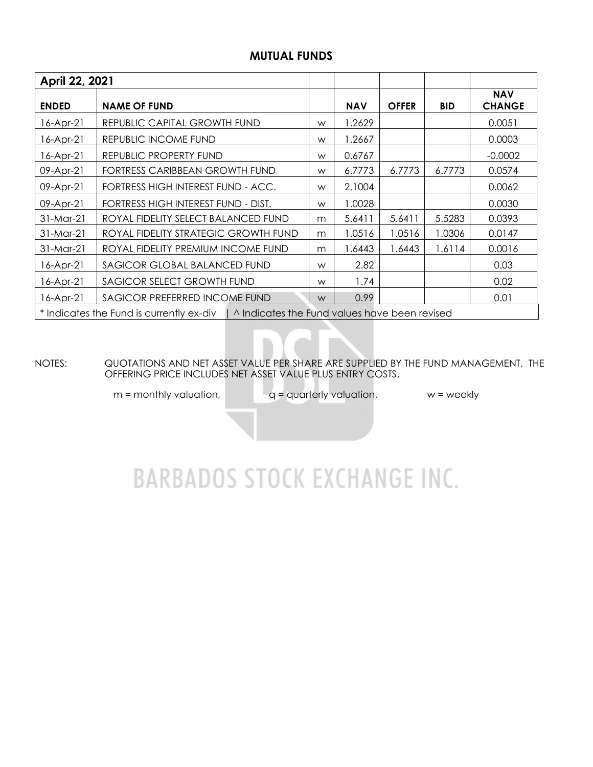# **MUTUAL FUNDS**

| April 22, 2021                                                                           |                                      |   |            |              |            |                             |  |  |  |
|------------------------------------------------------------------------------------------|--------------------------------------|---|------------|--------------|------------|-----------------------------|--|--|--|
| <b>ENDED</b>                                                                             | <b>NAME OF FUND</b>                  |   | <b>NAV</b> | <b>OFFER</b> | <b>BID</b> | <b>NAV</b><br><b>CHANGE</b> |  |  |  |
| 16-Apr-21                                                                                | REPUBLIC CAPITAL GROWTH FUND         | W | 1.2629     |              |            | 0.0051                      |  |  |  |
| 16-Apr-21                                                                                | REPUBLIC INCOME FUND                 | W | 1.2667     |              |            | 0.0003                      |  |  |  |
| 16-Apr-21                                                                                | REPUBLIC PROPERTY FUND               | W | 0.6767     |              |            | $-0.0002$                   |  |  |  |
| 09-Apr-21                                                                                | FORTRESS CARIBBEAN GROWTH FUND       | W | 6.7773     | 6.7773       | 6.7773     | 0.0574                      |  |  |  |
| 09-Apr-21                                                                                | FORTRESS HIGH INTEREST FUND - ACC.   | W | 2.1004     |              |            | 0.0062                      |  |  |  |
| 09-Apr-21                                                                                | FORTRESS HIGH INTEREST FUND - DIST.  | W | 1.0028     |              |            | 0.0030                      |  |  |  |
| 31-Mar-21                                                                                | ROYAL FIDELITY SELECT BALANCED FUND  | m | 5.6411     | 5.6411       | 5.5283     | 0.0393                      |  |  |  |
| 31-Mar-21                                                                                | ROYAL FIDELITY STRATEGIC GROWTH FUND | m | 1.0516     | 1.0516       | 1.0306     | 0.0147                      |  |  |  |
| 31-Mar-21                                                                                | ROYAL FIDELITY PREMIUM INCOME FUND   | m | 1.6443     | 1.6443       | 1.6114     | 0.0016                      |  |  |  |
| 16-Apr-21                                                                                | SAGICOR GLOBAL BALANCED FUND         |   | 2.82       |              |            | 0.03                        |  |  |  |
| 16-Apr-21                                                                                | SAGICOR SELECT GROWTH FUND           |   | 1.74       |              |            | 0.02                        |  |  |  |
| SAGICOR PREFERRED INCOME FUND<br>16-Apr-21                                               |                                      |   | 0.99       |              |            | 0.01                        |  |  |  |
| * Indicates the Fund is currently ex-div   ^ Indicates the Fund values have been revised |                                      |   |            |              |            |                             |  |  |  |

NOTES: QUOTATIONS AND NET ASSET VALUE PER SHARE ARE SUPPLIED BY THE FUND MANAGEMENT. THE OFFERING PRICE INCLUDES NET ASSET VALUE PLUS ENTRY COSTS.

 $m =$  monthly valuation,  $q =$  quarterly valuation, w = weekly

# **BARBADOS STOCK EXCHANGE INC.**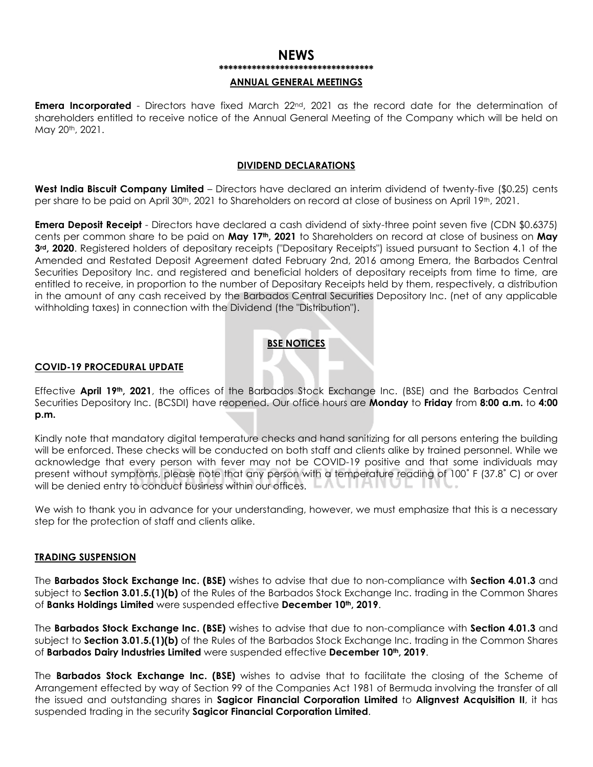## **NEWS** \*\*\*\*\*\*\*\*\*\*\*\*\*\*\*\*\*\*\*\*\*\*\*\*\*\*\*\*\*\*\*\*

#### **ANNUAL GENERAL MEETINGS**

Emera Incorporated - Directors have fixed March 22<sup>nd</sup>, 2021 as the record date for the determination of shareholders entitled to receive notice of the Annual General Meeting of the Company which will be held on May 20th, 2021.

#### **DIVIDEND DECLARATIONS**

**West India Biscuit Company Limited** – Directors have declared an interim dividend of twenty-five (\$0.25) cents per share to be paid on April 30<sup>th</sup>, 2021 to Shareholders on record at close of business on April 19<sup>th</sup>, 2021.

**Emera Deposit Receipt** - Directors have declared a cash dividend of sixty-three point seven five (CDN \$0.6375) cents per common share to be paid on **May 17th, 2021** to Shareholders on record at close of business on **May 3rd, 2020**. Registered holders of depositary receipts ("Depositary Receipts") issued pursuant to Section 4.1 of the Amended and Restated Deposit Agreement dated February 2nd, 2016 among Emera, the Barbados Central Securities Depository Inc. and registered and beneficial holders of depositary receipts from time to time, are entitled to receive, in proportion to the number of Depositary Receipts held by them, respectively, a distribution in the amount of any cash received by the Barbados Central Securities Depository Inc. (net of any applicable withholding taxes) in connection with the Dividend (the "Distribution").

### **BSE NOTICES**

#### **COVID-19 PROCEDURAL UPDATE**

Effective **April 19th, 2021**, the offices of the Barbados Stock Exchange Inc. (BSE) and the Barbados Central Securities Depository Inc. (BCSDI) have reopened. Our office hours are **Monday** to **Friday** from **8:00 a.m.** to **4:00 p.m.**

Kindly note that mandatory digital temperature checks and hand sanitizing for all persons entering the building will be enforced. These checks will be conducted on both staff and clients alike by trained personnel. While we acknowledge that every person with fever may not be COVID-19 positive and that some individuals may present without symptoms, please note that any person with a temperature reading of 100˚ F (37.8˚ C) or over will be denied entry to conduct business within our offices.  $\Box A \cup \Box A \cup \Box A \cup \Box$ 

We wish to thank you in advance for your understanding, however, we must emphasize that this is a necessary step for the protection of staff and clients alike.

#### **TRADING SUSPENSION**

The **Barbados Stock Exchange Inc. (BSE)** wishes to advise that due to non-compliance with **Section 4.01.3** and subject to **Section 3.01.5.(1)(b)** of the Rules of the Barbados Stock Exchange Inc. trading in the Common Shares of **Banks Holdings Limited** were suspended effective **December 10th, 2019**.

The **Barbados Stock Exchange Inc. (BSE)** wishes to advise that due to non-compliance with **Section 4.01.3** and subject to **Section 3.01.5.(1)(b)** of the Rules of the Barbados Stock Exchange Inc. trading in the Common Shares of **Barbados Dairy Industries Limited** were suspended effective **December 10th, 2019**.

The **Barbados Stock Exchange Inc. (BSE)** wishes to advise that to facilitate the closing of the Scheme of Arrangement effected by way of Section 99 of the Companies Act 1981 of Bermuda involving the transfer of all the issued and outstanding shares in **Sagicor Financial Corporation Limited** to **Alignvest Acquisition II**, it has suspended trading in the security **Sagicor Financial Corporation Limited**.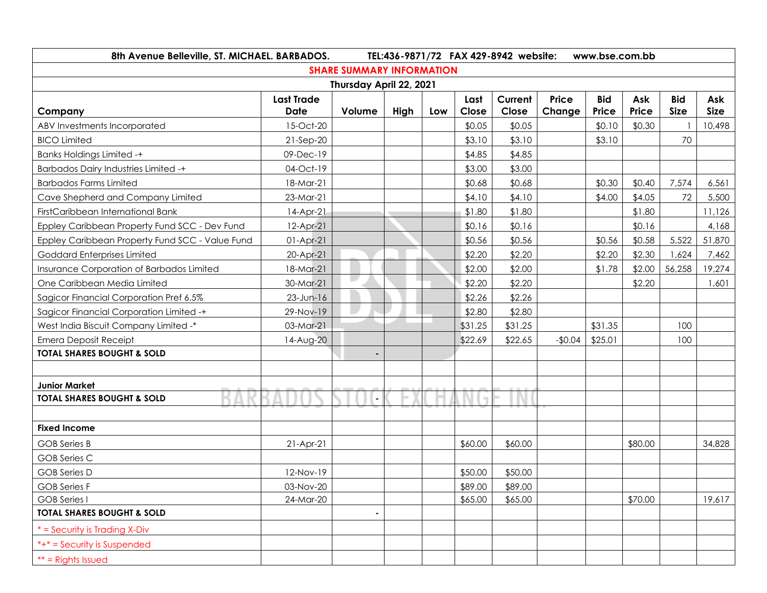| 8th Avenue Belleville, ST. MICHAEL. BARBADOS.<br>TEL:436-9871/72 FAX 429-8942 website:<br>www.bse.com.bb |                                  |        |      |     |               |                  |                 |                     |              |                           |                    |
|----------------------------------------------------------------------------------------------------------|----------------------------------|--------|------|-----|---------------|------------------|-----------------|---------------------|--------------|---------------------------|--------------------|
| <b>SHARE SUMMARY INFORMATION</b>                                                                         |                                  |        |      |     |               |                  |                 |                     |              |                           |                    |
| Thursday April 22, 2021                                                                                  |                                  |        |      |     |               |                  |                 |                     |              |                           |                    |
| Company                                                                                                  | <b>Last Trade</b><br><b>Date</b> | Volume | High | Low | Last<br>Close | Current<br>Close | Price<br>Change | <b>Bid</b><br>Price | Ask<br>Price | <b>Bid</b><br><b>Size</b> | Ask<br><b>Size</b> |
| ABV Investments Incorporated                                                                             | 15-Oct-20                        |        |      |     | \$0.05        | \$0.05           |                 | \$0.10              | \$0.30       |                           | 10,498             |
| <b>BICO Limited</b>                                                                                      | $21-Sep-20$                      |        |      |     | \$3.10        | \$3.10           |                 | \$3.10              |              | 70                        |                    |
| <b>Banks Holdings Limited -+</b>                                                                         | 09-Dec-19                        |        |      |     | \$4.85        | \$4.85           |                 |                     |              |                           |                    |
| <b>Barbados Dairy Industries Limited -+</b>                                                              | 04-Oct-19                        |        |      |     | \$3.00        | \$3.00           |                 |                     |              |                           |                    |
| <b>Barbados Farms Limited</b>                                                                            | 18-Mar-21                        |        |      |     | \$0.68        | \$0.68           |                 | \$0.30              | \$0.40       | 7,574                     | 6,561              |
| Cave Shepherd and Company Limited                                                                        | 23-Mar-21                        |        |      |     | \$4.10        | \$4.10           |                 | \$4.00              | \$4.05       | 72                        | 5,500              |
| FirstCaribbean International Bank                                                                        | 14-Apr-21                        |        |      |     | \$1.80        | \$1.80           |                 |                     | \$1.80       |                           | 11,126             |
| Eppley Caribbean Property Fund SCC - Dev Fund                                                            | 12-Apr-21                        |        |      |     | \$0.16        | \$0.16           |                 |                     | \$0.16       |                           | 4,168              |
| Eppley Caribbean Property Fund SCC - Value Fund                                                          | $01-Apr-21$                      |        |      |     | \$0.56        | \$0.56           |                 | \$0.56              | \$0.58       | 5,522                     | 51,870             |
| Goddard Enterprises Limited                                                                              | 20-Apr-21                        |        |      |     | \$2.20        | \$2.20           |                 | \$2.20              | \$2.30       | 1,624                     | 7,462              |
| Insurance Corporation of Barbados Limited                                                                | 18-Mar-21                        |        |      |     | \$2.00        | \$2.00           |                 | \$1.78              | \$2.00       | 56,258                    | 19,274             |
| One Caribbean Media Limited                                                                              | 30-Mar-21                        |        |      |     | \$2.20        | \$2.20           |                 |                     | \$2.20       |                           | 1,601              |
| Sagicor Financial Corporation Pref 6.5%                                                                  | $23$ -Jun-16                     |        |      |     | \$2.26        | \$2.26           |                 |                     |              |                           |                    |
| Sagicor Financial Corporation Limited -+                                                                 | 29-Nov-19                        |        |      |     | \$2.80        | \$2.80           |                 |                     |              |                           |                    |
| West India Biscuit Company Limited -*                                                                    | 03-Mar-21                        |        |      |     | \$31.25       | \$31.25          |                 | \$31.35             |              | 100                       |                    |
| <b>Emera Deposit Receipt</b>                                                                             | 14-Aug-20                        |        |      |     | \$22.69       | \$22.65          | $-$0.04$        | \$25.01             |              | 100                       |                    |
| <b>TOTAL SHARES BOUGHT &amp; SOLD</b>                                                                    |                                  |        |      |     |               |                  |                 |                     |              |                           |                    |
|                                                                                                          |                                  |        |      |     |               |                  |                 |                     |              |                           |                    |
| <b>Junior Market</b>                                                                                     |                                  |        |      |     |               |                  |                 |                     |              |                           |                    |
| <b>TOTAL SHARES BOUGHT &amp; SOLD</b>                                                                    |                                  |        |      |     |               |                  |                 |                     |              |                           |                    |
|                                                                                                          |                                  |        |      |     |               |                  |                 |                     |              |                           |                    |
| <b>Fixed Income</b>                                                                                      |                                  |        |      |     |               |                  |                 |                     |              |                           |                    |
| <b>GOB</b> Series B                                                                                      | $21-Apr-21$                      |        |      |     | \$60.00       | \$60.00          |                 |                     | \$80.00      |                           | 34,828             |
| <b>GOB Series C</b>                                                                                      |                                  |        |      |     |               |                  |                 |                     |              |                           |                    |
| <b>GOB</b> Series D                                                                                      | 12-Nov-19                        |        |      |     | \$50.00       | \$50.00          |                 |                     |              |                           |                    |
| <b>GOB Series F</b>                                                                                      | 03-Nov-20                        |        |      |     | \$89.00       | \$89.00          |                 |                     |              |                           |                    |
| <b>GOB Series I</b>                                                                                      | 24-Mar-20                        |        |      |     | \$65.00       | \$65.00          |                 |                     | \$70.00      |                           | 19,617             |
| <b>TOTAL SHARES BOUGHT &amp; SOLD</b>                                                                    |                                  |        |      |     |               |                  |                 |                     |              |                           |                    |
| * = Security is Trading X-Div                                                                            |                                  |        |      |     |               |                  |                 |                     |              |                           |                    |
| *+* = Security is Suspended                                                                              |                                  |        |      |     |               |                  |                 |                     |              |                           |                    |
| $**$ = Rights Issued                                                                                     |                                  |        |      |     |               |                  |                 |                     |              |                           |                    |